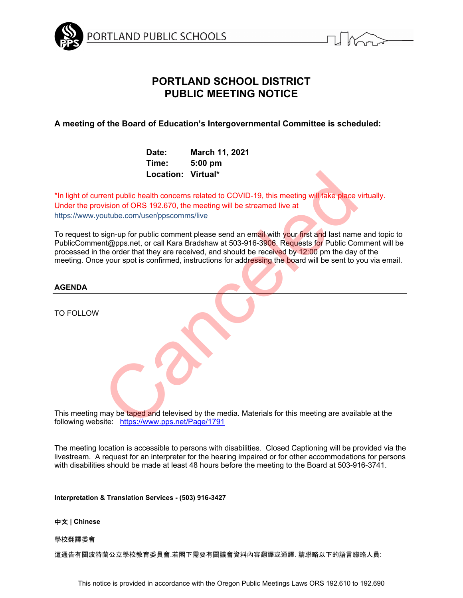

# **PORTLAND SCHOOL DISTRICT PUBLIC MEETING NOTICE**

**A meeting of the Board of Education's Intergovernmental Committee is scheduled:** 

| Date:              | March 11, 2021 |
|--------------------|----------------|
| Time:              | $5:00$ pm      |
| Location: Virtual* |                |

\*In light of current public health concerns related to COVID-19, this meeting will take place virtually. Under the provision of ORS 192.670, the meeting will be streamed live at https://www.youtube.com/user/ppscomms/live

To request to sign-up for public comment please send an email with your first and last name and topic to PublicComment@pps.net, or call Kara Bradshaw at 503-916-3906. Requests for Public Comment will be processed in the order that they are received, and should be received by 12:00 pm the day of the meeting. Once your spot is confirmed, instructions for addressing the board will be sent to you via email. Location: Virtual\*<br>
rent public health concerns related to COVID-19, this meeting will take place<br>
vision of ORS 192.670, the meeting will be streamed live at<br>
sign-up for public comment please send an email with your firs

# **AGENDA**

TO FOLLOW

This meeting may be taped and televised by the media. Materials for this meeting are available at the following website: https://www.pps.net/Page/1791

The meeting location is accessible to persons with disabilities. Closed Captioning will be provided via the livestream. A request for an interpreter for the hearing impaired or for other accommodations for persons with disabilities should be made at least 48 hours before the meeting to the Board at 503-916-3741.

**Interpretation & Translation Services - (503) 916-3427** 

## 中文 **| Chinese**

## 學校翻譯委會

這通告有關波特蘭公立學校教育委員會.若閣下需要有關議會資料內容翻譯或通譯. 請聯略以下的語言聯略人員: